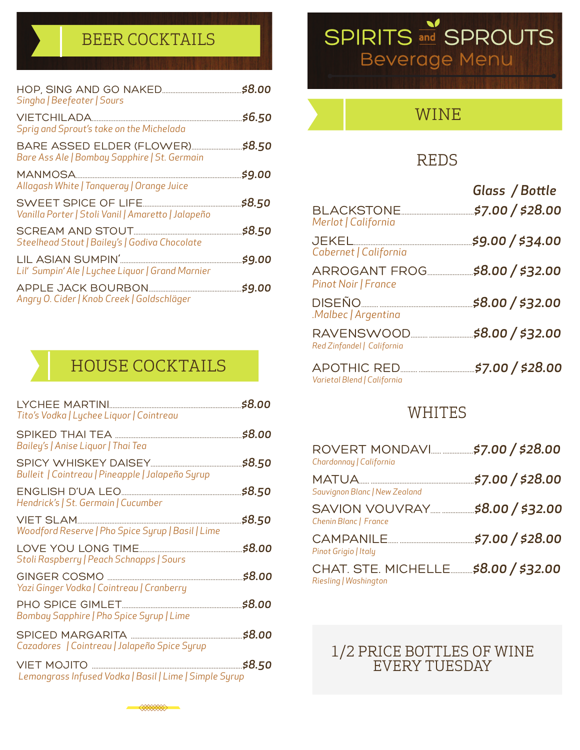### BEER COCKTAILS

| Singha   Beefeater   Sours                                                 |        |
|----------------------------------------------------------------------------|--------|
| Sprig and Sprout's take on the Michelada                                   | \$6.50 |
| BARE ASSED ELDER (FLOWER)<br>Bare Ass Ale   Bombay Sapphire   St. Germain  | \$8.50 |
| MANMOSA<br>Allagash White   Tanqueray   Orange Juice                       | \$9.00 |
| SWEET SPICE OF LIFE.<br>Vanilla Porter   Stoli Vanil   Amaretto   Jalapeño | \$8.50 |
| Steelhead Stout   Bailey's   Godiva Chocolate                              | \$8.50 |
| Lil' Sumpin' Ale   Lychee Liquor   Grand Marnier                           | \$9.00 |
| Angry O. Cider   Knob Creek   Goldschläger                                 | \$9.00 |

### HOUSE COCKTAILS

| Tito's Vodka   Lychee Liquor   Cointreau                              | \$8.00 |
|-----------------------------------------------------------------------|--------|
| Bailey's   Anise Liquor   Thai Tea                                    | \$8.00 |
| Bulleit   Cointreau   Pineapple   Jalapeño Syrup                      | \$8.50 |
| Hendrick's   St. Germain   Cucumber                                   | \$8.50 |
| VIET SLAM<br>Woodford Reserve   Pho Spice Syrup   Basil   Lime        | \$8.50 |
| <b>LOVE YOU LONG TIME</b><br>Stoli Raspberry   Peach Schnapps   Sours | \$8.00 |
| Yazi Ginger Vodka   Cointreau   Cranberry                             | \$8.00 |
| Bombay Sapphire   Pho Spice Syrup   Lime                              | \$8.00 |
| SPICED MARGARITA<br>Cazadores   Cointreau   Jalapeño Spice Syrup      | \$8.00 |
| Lemongrass Infused Vodka   Basil   Lime   Simple Syrup                | \$8.50 |
|                                                                       |        |

**SANAIRID** 

# **SPIRITS and SPROUTS Beverage Menu**



### REDS

|                                                    | Glass / Bottle   |
|----------------------------------------------------|------------------|
| <b>BLACKSTONE</b><br>Merlot   California           | \$7.00 / \$28.00 |
| <b>JEKEL</b><br>Cabernet   California              | \$9.00 / \$34.00 |
| <b>ARROGANT FROG</b><br>Pinot Noir   France        | \$8.00 / \$32.00 |
| DISEÑO<br>.Malbec   Argentina                      | \$8.00 / \$32.00 |
| RAVENSWOOD.<br>Red Zinfandel   California          | \$8.00 / \$32.00 |
| <b>APOTHIC RED.</b><br>Varietal Blend   California | \$7.00 / \$28.00 |

#### WHITES

| Chardonnay   California                                       |                                 |
|---------------------------------------------------------------|---------------------------------|
| Sauvignon Blanc   New Zealand                                 |                                 |
| SAVION VOUVRAY<br>Chenin Blanc   France                       | \$8.00 / \$32.00                |
| Pinot Grigio   Italy                                          | <b><i>"\$7.00 / \$28.00</i></b> |
| CHAT. STE. MICHELLE \$8.00 / \$32.00<br>Riesling   Washington |                                 |

#### 1/2 PRICE BOTTLES OF WINE EVERY TUESDAY